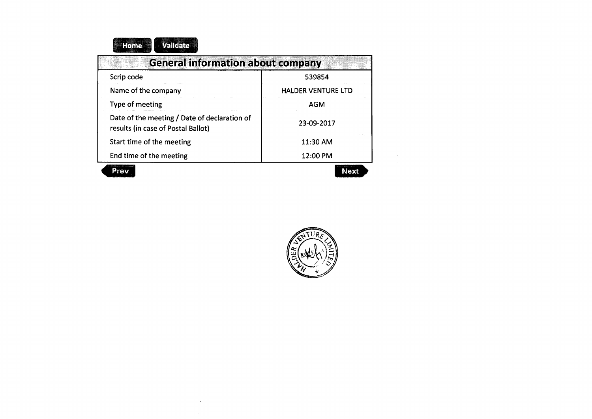| Validate<br>Home                                                                   |                           |
|------------------------------------------------------------------------------------|---------------------------|
| <b>General information about company</b>                                           |                           |
| Scrip code                                                                         | 539854                    |
| Name of the company                                                                | <b>HALDER VENTURE LTD</b> |
| Type of meeting                                                                    | AGM                       |
| Date of the meeting / Date of declaration of<br>results (in case of Postal Ballot) | 23-09-2017                |
| Start time of the meeting                                                          | 11:30 AM                  |
| End time of the meeting                                                            | 12:00 PM                  |
|                                                                                    | Nev                       |

 $\cdot$ 

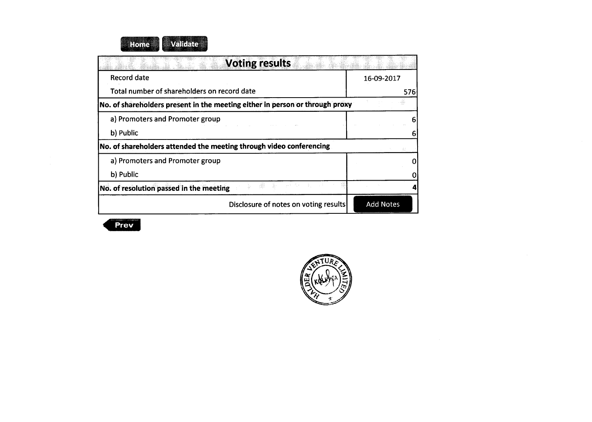| <b>Voting results</b>                                                        |                  |
|------------------------------------------------------------------------------|------------------|
| <b>Record date</b>                                                           | 16-09-2017       |
| Total number of shareholders on record date                                  | 576              |
| No. of shareholders present in the meeting either in person or through proxy |                  |
| a) Promoters and Promoter group                                              |                  |
| b) Public                                                                    |                  |
| No. of shareholders attended the meeting through video conferencing          |                  |
| a) Promoters and Promoter group                                              |                  |
| b) Public                                                                    |                  |
| No. of resolution passed in the meeting                                      |                  |
| Disclosure of notes on voting results                                        | <b>Add Notes</b> |



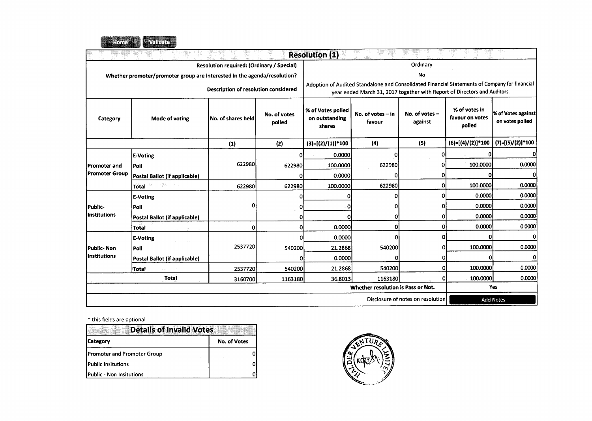

|                       |                                                                          |                                           |                        | <b>Resolution (1)</b>                         |                                                                                                                                                                            |                                   |                                            |                                       |  |  |
|-----------------------|--------------------------------------------------------------------------|-------------------------------------------|------------------------|-----------------------------------------------|----------------------------------------------------------------------------------------------------------------------------------------------------------------------------|-----------------------------------|--------------------------------------------|---------------------------------------|--|--|
|                       |                                                                          | Resolution required: (Ordinary / Special) |                        | Ordinary                                      |                                                                                                                                                                            |                                   |                                            |                                       |  |  |
|                       | Whether promoter/promoter group are interested in the agenda/resolution? |                                           |                        |                                               |                                                                                                                                                                            | No                                |                                            |                                       |  |  |
|                       |                                                                          | Description of resolution considered      |                        |                                               | Adoption of Audited Standalone and Consolidated Financial Statements of Company for financial<br>year ended March 31, 2017 together with Report of Directors and Auditors. |                                   |                                            |                                       |  |  |
| Category              | Mode of voting                                                           | No. of shares held                        | No. of votes<br>polled | % of Votes polled<br>on outstanding<br>shares | No. of votes $-$ in<br>favour                                                                                                                                              | No. of votes -<br>against         | % of votes in<br>favour on votes<br>polled | % of Votes against<br>on votes polled |  |  |
|                       |                                                                          | (1)                                       | (2)                    | $(3)=[(2)/(1)]*100$                           | (4)                                                                                                                                                                        | (5)                               | $(6)=[(4)/(2)]*100$                        | (7)=[(5)/(2)]*100                     |  |  |
|                       | <b>E-Voting</b>                                                          |                                           | ٥I                     | 0.0000                                        | 0                                                                                                                                                                          | 01                                | Ω                                          |                                       |  |  |
| Promoter and          | l Poll                                                                   | 622980                                    | 622980                 | 100,0000                                      | 622980                                                                                                                                                                     |                                   | 100.0000                                   | 0.0000                                |  |  |
| <b>Promoter Group</b> | Postal Ballot (if applicable)                                            |                                           | 0                      | 0.0000                                        | 0                                                                                                                                                                          |                                   | 0                                          | 0                                     |  |  |
|                       | <b>Total</b>                                                             | 622980                                    | 622980                 | 100.0000                                      | 622980                                                                                                                                                                     |                                   | 100,0000                                   | 0.0000                                |  |  |
|                       | <b>E-Voting</b>                                                          |                                           | n                      |                                               | n                                                                                                                                                                          | n                                 | 0.0000                                     | 0.0000                                |  |  |
| Public-               | Poll                                                                     | o                                         | ٥ı                     |                                               | n                                                                                                                                                                          |                                   | 0.0000                                     | 0.0000                                |  |  |
| l Institutions        | Postal Ballot (if applicable)                                            |                                           | ი                      |                                               | o                                                                                                                                                                          |                                   | 0.0000                                     | 0.0000                                |  |  |
|                       | <b>Total</b>                                                             | $\mathbf{0}$                              | 0                      | 0.0000                                        | 0                                                                                                                                                                          |                                   | 0.0000                                     | 0.0000                                |  |  |
|                       | <b>E-Voting</b>                                                          |                                           | n                      | 0.0000                                        | n                                                                                                                                                                          | n                                 | 0                                          |                                       |  |  |
| Public- Non           | Poll                                                                     | 2537720                                   | 540200                 | 21.2868                                       | 540200                                                                                                                                                                     |                                   | 100.0000                                   | 0.0000                                |  |  |
| Institutions          | Postal Ballot (if applicable)                                            |                                           | ი                      | 0.0000                                        | n                                                                                                                                                                          | ٥Ι                                | Ω                                          |                                       |  |  |
|                       | Total                                                                    | 2537720                                   | 540200                 | 21.2868                                       | 540200                                                                                                                                                                     | Λ                                 | 100.0000                                   | 0.0000                                |  |  |
|                       | <b>Total</b>                                                             | 3160700                                   | 1163180                | 36.8013                                       | 1163180                                                                                                                                                                    | ი                                 | 100.0000                                   | 0.0000                                |  |  |
|                       |                                                                          |                                           |                        |                                               | Whether resolution is Pass or Not.                                                                                                                                         |                                   |                                            | Yes                                   |  |  |
|                       |                                                                          |                                           |                        |                                               |                                                                                                                                                                            | Disclosure of notes on resolution |                                            | <b>Add Notes</b>                      |  |  |

| <b>Details of Invalid Votes</b>    |                     |  |  |  |
|------------------------------------|---------------------|--|--|--|
| <b>Category</b>                    | <b>No. of Votes</b> |  |  |  |
| <b>Promoter and Promoter Group</b> |                     |  |  |  |
| Public Insitutions                 |                     |  |  |  |
| Public - Non Insitutions           |                     |  |  |  |

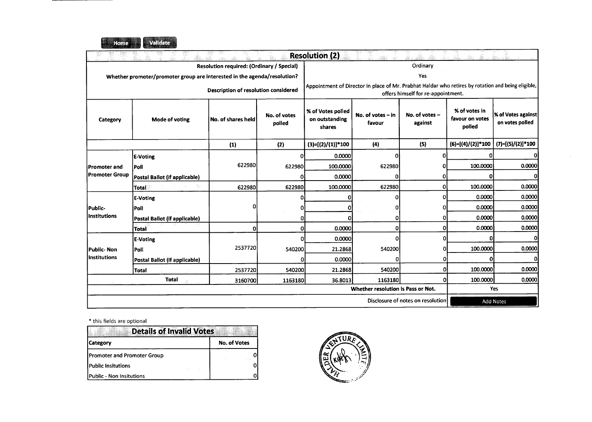

|                     |                                                                          |                                           |                        | <b>Resolution (2)</b>                         |                                                                                                    |                                    |                                            |                                       |  |  |
|---------------------|--------------------------------------------------------------------------|-------------------------------------------|------------------------|-----------------------------------------------|----------------------------------------------------------------------------------------------------|------------------------------------|--------------------------------------------|---------------------------------------|--|--|
|                     |                                                                          | Resolution required: (Ordinary / Special) |                        | Ordinary                                      |                                                                                                    |                                    |                                            |                                       |  |  |
|                     | Whether promoter/promoter group are interested in the agenda/resolution? |                                           |                        | Yes                                           |                                                                                                    |                                    |                                            |                                       |  |  |
|                     |                                                                          | Description of resolution considered      |                        |                                               | Appointment of Director in place of Mr. Prabhat Haldar who retires by rotation and being eligible, | offers himself for re-appointment. |                                            |                                       |  |  |
| Category            | <b>Mode of voting</b>                                                    | No. of shares held                        | No. of votes<br>polled | % of Votes polled<br>on outstanding<br>shares | No. of votes $-$ in<br>favour                                                                      | No. of votes -<br>against          | % of votes in<br>favour on votes<br>polled | % of Votes against<br>on votes polled |  |  |
|                     |                                                                          | (1)                                       | (2)                    | $(3)=[(2)/(1)]*100$                           | (4)                                                                                                | (5)                                | (6)=[(4)/(2)]*100                          | $(7)=[(5)/(2)]*100$                   |  |  |
|                     | <b>E-Voting</b>                                                          |                                           | n                      | 0.0000                                        | ი                                                                                                  | n                                  | o                                          | o                                     |  |  |
| Promoter and        | Poll                                                                     | 622980                                    | 622980                 | 100.0000                                      | 622980                                                                                             |                                    | 100.0000                                   | 0.0000                                |  |  |
| Promoter Group      | Postal Ballot (if applicable)                                            |                                           |                        | 0.0000                                        |                                                                                                    | ۵ł                                 | $\Omega$                                   | ΩI                                    |  |  |
|                     | <b>Total</b>                                                             | 622980                                    | 622980                 | 100.0000                                      | 622980                                                                                             | $\Omega$                           | 100.0000                                   | 0.0000                                |  |  |
|                     | <b>E-Voting</b>                                                          |                                           | n                      |                                               |                                                                                                    | ΩI                                 | 0.0000                                     | 0.0000                                |  |  |
| Public-             | Poll                                                                     | o                                         |                        |                                               |                                                                                                    |                                    | 0.0000                                     | 0.0000                                |  |  |
| Institutions        | Postal Ballot (if applicable)                                            |                                           |                        |                                               | 0                                                                                                  | O                                  | 0.0000                                     | 0.0000                                |  |  |
|                     | <b>Total</b>                                                             | 0                                         |                        | 0.0000                                        | 0                                                                                                  | ٥l                                 | 0.0000                                     | 0.0000                                |  |  |
|                     | <b>E-Voting</b>                                                          |                                           |                        | 0.0000                                        | Ω                                                                                                  | ۵l                                 | Ω                                          |                                       |  |  |
| Public-Non          | Poll                                                                     | 2537720                                   | 540200                 | 21.2868                                       | 540200                                                                                             |                                    | 100.0000                                   | 0.0000                                |  |  |
| <b>Institutions</b> | Postal Ballot (if applicable)                                            |                                           | o                      | 0.0000                                        | 0                                                                                                  | ი                                  | 0                                          | O.                                    |  |  |
|                     | <b>Total</b>                                                             | 2537720                                   | 540200                 | 21.2868                                       | 540200                                                                                             | 0                                  | 100.0000                                   | 0.0000                                |  |  |
|                     | <b>Total</b><br>3160700                                                  |                                           | 1163180                | 36.8013                                       | 1163180                                                                                            | 0                                  | 100.0000                                   | 0.0000                                |  |  |
|                     |                                                                          |                                           |                        |                                               | Whether resolution is Pass or Not.                                                                 |                                    |                                            | Yes                                   |  |  |
|                     |                                                                          |                                           |                        |                                               |                                                                                                    | Disclosure of notes on resolution  |                                            | <b>Add Notes</b>                      |  |  |

| <b>Details of Invalid Votes</b>    |                     |
|------------------------------------|---------------------|
| <b>Category</b>                    | <b>No. of Votes</b> |
| <b>Promoter and Promoter Group</b> |                     |
| Public Insitutions                 |                     |
| Public - Non Insitutions           |                     |

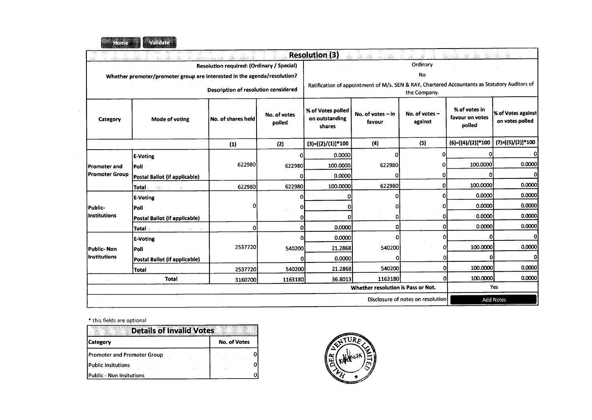

 $\sim 100$ 

|                                    |                                                                          |                                                  |                        | <b>Resolution (3)</b>                         |                                                                                                               |                             |                                            |                                       |  |  |
|------------------------------------|--------------------------------------------------------------------------|--------------------------------------------------|------------------------|-----------------------------------------------|---------------------------------------------------------------------------------------------------------------|-----------------------------|--------------------------------------------|---------------------------------------|--|--|
|                                    |                                                                          | <b>Resolution required: (Ordinary / Special)</b> |                        | Ordinary                                      |                                                                                                               |                             |                                            |                                       |  |  |
|                                    | Whether promoter/promoter group are interested in the agenda/resolution? |                                                  |                        |                                               |                                                                                                               | No                          |                                            |                                       |  |  |
|                                    |                                                                          | Description of resolution considered             |                        |                                               | Ratification of appointment of M/s. SEN & RAY, Chartered Accountants as Statutory Auditors of<br>the Company. |                             |                                            |                                       |  |  |
| Category                           | Mode of voting                                                           | No. of shares held                               | No. of votes<br>polled | % of Votes polled<br>on outstanding<br>shares | No. of votes $-$ in<br>favour                                                                                 | No. of votes $-$<br>against | % of votes in<br>favour on votes<br>polled | % of Votes against<br>on votes polled |  |  |
|                                    |                                                                          | (1)                                              | (2)                    | $(3)=[(2)/(1)]*100$                           | (4)                                                                                                           | (5)                         | $(6)=[(4)/(2)]*100$                        | (7)=[(5)/(2)]*100                     |  |  |
|                                    | <b>E-Voting</b>                                                          |                                                  | 0                      | 0.0000                                        | ΩI                                                                                                            | Λ                           | n                                          | 0                                     |  |  |
| Promoter and                       | Poll                                                                     | 622980                                           | 622980                 | 100.0000                                      | 622980                                                                                                        |                             | 100.0000                                   | 0.0000                                |  |  |
| Promoter Group                     | Postal Ballot (if applicable)                                            |                                                  | 0                      | 0.0000                                        | Ω                                                                                                             |                             | 0                                          | വ                                     |  |  |
|                                    | Total                                                                    | 622980                                           | 622980                 | 100.0000                                      | 622980                                                                                                        |                             | 100.0000                                   | 0.0000                                |  |  |
|                                    | <b>E-Voting</b>                                                          |                                                  | n                      |                                               | O                                                                                                             | n                           | 0.0000                                     | 0.0000                                |  |  |
| Public-                            | Poll                                                                     | 0                                                |                        |                                               | O                                                                                                             |                             | 0.0000                                     | 0.0000                                |  |  |
| Institutions                       | Postal Ballot (if applicable)                                            |                                                  |                        |                                               | 0                                                                                                             |                             | 0.0000                                     | 0.0000                                |  |  |
|                                    | <b>Total</b>                                                             | ٥I                                               | Ω                      | 0.0000                                        | n                                                                                                             | n                           | 0.0000                                     | 0.0000                                |  |  |
|                                    | <b>E-Voting</b>                                                          |                                                  | Ω                      | 0.0000                                        |                                                                                                               | n                           | Ω                                          |                                       |  |  |
| Public- Non                        | <b>Poll</b>                                                              | 2537720                                          | 540200                 | 21.2868                                       | 540200                                                                                                        |                             | 100.0000                                   | 0.0000                                |  |  |
| Institutions                       | Postal Ballot (if applicable)                                            |                                                  |                        | 0.0000                                        |                                                                                                               |                             | n                                          | OI                                    |  |  |
|                                    | <b>Total</b>                                                             | 2537720                                          | 540200                 | 21.2868                                       | 540200                                                                                                        |                             | 100.0000                                   | 0.0000                                |  |  |
|                                    | <b>Total</b>                                                             | 3160700                                          | 1163180                | 36.8013                                       | 1163180                                                                                                       |                             | 100.0000                                   | 0.0000                                |  |  |
| Whether resolution is Pass or Not. |                                                                          |                                                  |                        |                                               |                                                                                                               |                             |                                            | Yes                                   |  |  |
|                                    | Disclosure of notes on resolution<br><b>Add Notes</b>                    |                                                  |                        |                                               |                                                                                                               |                             |                                            |                                       |  |  |

| <b>Details of Invalid Votes</b>    |                     |
|------------------------------------|---------------------|
| <b>Category</b>                    | <b>No. of Votes</b> |
| <b>Promoter and Promoter Group</b> |                     |
| Public Insitutions                 |                     |
| <b>Public - Non Insitutions</b>    |                     |

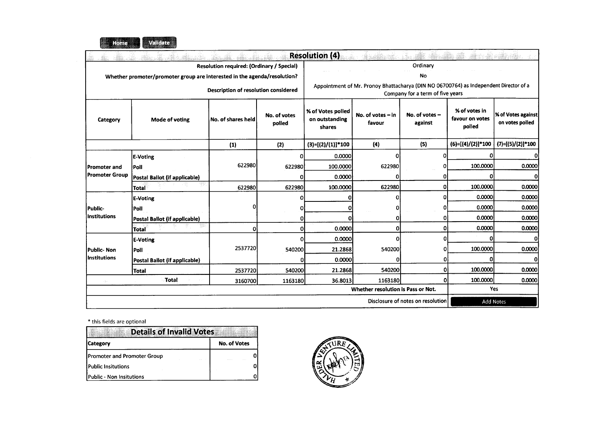

|                     |                                                                          |                                           |                        | <b>Resolution (4)</b>                         |                                                                                       |                                   |                                            |                                       |  |  |
|---------------------|--------------------------------------------------------------------------|-------------------------------------------|------------------------|-----------------------------------------------|---------------------------------------------------------------------------------------|-----------------------------------|--------------------------------------------|---------------------------------------|--|--|
|                     |                                                                          | Resolution required: (Ordinary / Special) |                        | Ordinary                                      |                                                                                       |                                   |                                            |                                       |  |  |
|                     | Whether promoter/promoter group are interested in the agenda/resolution? |                                           |                        |                                               |                                                                                       | No                                |                                            |                                       |  |  |
|                     |                                                                          | Description of resolution considered      |                        |                                               | Appointment of Mr. Pronoy Bhattacharya (DIN NO 06700764) as Independent Director of a | Company for a term of five years  |                                            |                                       |  |  |
| Category            | Mode of voting                                                           | No. of shares held                        | No. of votes<br>polled | % of Votes polled<br>on outstanding<br>shares | No. of votes $-$ in<br>favour                                                         | No. of votes -<br>against         | % of votes in<br>favour on votes<br>polled | % of Votes against<br>on votes polled |  |  |
|                     |                                                                          | (1)                                       | (2)                    | $(3)=[(2)/(1)]*100$                           | (4)                                                                                   | (5)                               | $(6)=[(4)/(2)]*100$                        | $(7)=[(5)/(2)]*100$                   |  |  |
|                     | <b>E-Voting</b>                                                          |                                           | o                      | 0.0000                                        | n                                                                                     | O                                 |                                            | 0                                     |  |  |
| Promoter and        | Poll                                                                     | 622980                                    | 622980                 | 100.0000                                      | 622980                                                                                | 0                                 | 100.0000                                   | 0.0000                                |  |  |
| Promoter Group      | Postal Ballot (if applicable)                                            |                                           | ο                      | 0.0000                                        |                                                                                       | 0                                 | Ω                                          | $\Omega$                              |  |  |
|                     | Total                                                                    | 622980                                    | 622980                 | 100.0000                                      | 622980                                                                                | 0                                 | 100.0000                                   | 0.0000                                |  |  |
|                     | E-Voting                                                                 |                                           | O                      |                                               | Ωï                                                                                    | $\Omega$                          | 0.0000                                     | 0.0000                                |  |  |
| Public-             | Poll                                                                     |                                           | Ω                      |                                               |                                                                                       | 0l                                | 0.0000                                     | 0.0000                                |  |  |
| <b>Institutions</b> | Postal Ballot (if applicable)                                            |                                           | n                      |                                               | OI                                                                                    | $\Omega$                          | 0.0000                                     | 0.0000                                |  |  |
|                     | <b>Total</b>                                                             | 0                                         | $\Omega$               | 0.0000                                        | O                                                                                     | 0                                 | 0.0000                                     | 0.0000                                |  |  |
|                     | <b>E-Voting</b>                                                          |                                           | Ω                      | 0.0000                                        | Ω                                                                                     | Ωl                                | Ω                                          | $\Omega$                              |  |  |
| Public-Non          | Poll                                                                     | 2537720                                   | 540200                 | 21.2868                                       | 540200                                                                                | Ω                                 | 100.0000                                   | 0.0000                                |  |  |
| <b>Institutions</b> | Postal Ballot (if applicable)                                            |                                           | n                      | 0.0000                                        | O.                                                                                    | 0                                 | n                                          | 0                                     |  |  |
|                     | Total                                                                    | 2537720                                   | 540200                 | 21.2868                                       | 540200                                                                                | $\Omega$                          | 100.0000                                   | 0.0000                                |  |  |
| $\sim 1/\sim$       | Total                                                                    | 3160700                                   | 1163180                | 36.8013                                       | 1163180                                                                               | $\mathbf{0}$                      | 100.0000                                   | 0.0000                                |  |  |
|                     |                                                                          |                                           |                        |                                               | Whether resolution is Pass or Not.                                                    |                                   |                                            | Yes                                   |  |  |
|                     |                                                                          |                                           |                        |                                               |                                                                                       | Disclosure of notes on resolution |                                            | <b>Add Notes</b>                      |  |  |

| <b>Details of Invalid Votes</b>    |                     |
|------------------------------------|---------------------|
| <b>Category</b>                    | <b>No. of Votes</b> |
| <b>Promoter and Promoter Group</b> |                     |
| Public Insitutions                 |                     |
| Public - Non Insitutions           |                     |

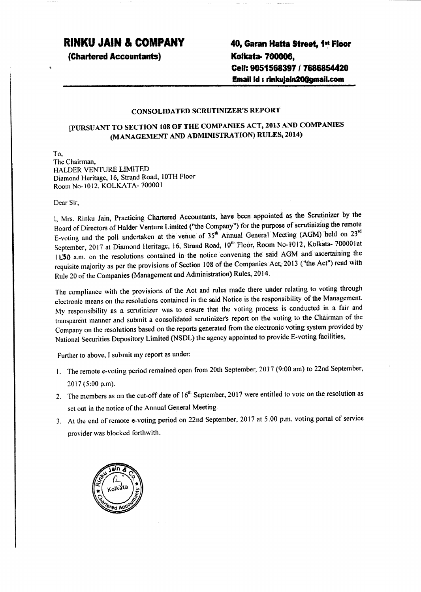# **RINKU JAIN & COMPANY**

**(Chartered Accountants)**

**40, Garan Hatta Street. 1...Floor Koikata- 700006,** CeU: 9051568397 *I* 7686854420 **Email Id: rinkujain20@gmail.com** 

#### CONSOLIDATED SCRUTINIZER'S REPORT

### [PlJRSUANT TO SECTION 108OF THE COMPANIES ACT, 2013 AND COMPANIES (MANAGEMENT AND ADMINISTRATION) RULES, 2014)

To, The Chairman, BALDER VENTURE LIMITED Diamond Heritage, 16, Strand Road, 10TH Floor RoomNo-10l2, KOLK.ATA-70000l

Dear Sir,

I, Mrs, Rinku Jain, Practicing Chartered Accountants, have been appointed as the Scrutinizer by the Board of Directors of Halder Venture Limited ("the Company") for the purpose of scrutinizing the remote E-voting and the poll undertaken at the venue of 35<sup>th</sup> Annual General Meeting (AGM) held on 23<sup>rd</sup> September, 2017 at Diamond Heritage, 16, Strand Road, 10<sup>th</sup> Floor, Room No-1012, Kolkata- 700001at 11.50 a.m. on the resolutions contained in the notice convening the said AGM and ascertaining the requisite majority as per the provisions of Section 108 of the Companies Act, 2013 ("the Act") read with Rule 20 of the Companies (Management and Administration) Rules, 2014.

The compliance with the provisions of the Act and rules made there under relating to voting through electronic means on the resolutions contained in the said Notice is the responsibility of the Management. My responsibility as a scrutinizer was to ensure that the voting process is conducted in a fair and transparent manner and submit a consolidated scrutinizer's report on the voting to the Chairnum of the Company on the resolutions based on the reports generated from the electronic voting system provided by National Securities Depository Limited (NSDL) the agency appointed to provide E-voting facilities,

Further to above, I submit my report as under:

- I. The remote e-voting period remained open from 20th September, 2017 (9;00 am) to 22nd September, 2017 (5:00 p.m).
- 2. The members as on the cut-off date of 16<sup>th</sup> September, 2017 were entitled to vote on the resolution as set out in the notice of the Annual General Meeting.
- 3. At the end of remote e-voting period on 22nd September, 2017 at 5.00 p.m. voting portal of service provider was blocked forthwith.

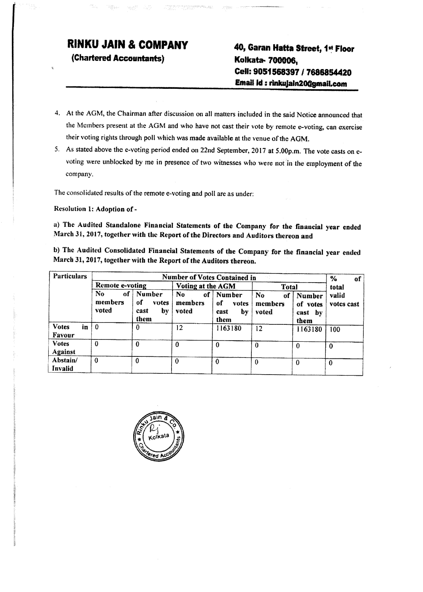# **RI.NKU JAIN & COMPANY**

**(Chartered Accountants)**

# **40, Garan Matta Street, 1~ Floor Kolkata-700006, Cell: 9051588397** *I* **7686854420 Email Id: rinkujaln20@gmail.com**

- 4. At the AGM, the Chairman after discussion on all matters included in the said Notice announced that the Members present at the AGM and who have not cast their vote by remote e-voting, can exercise their voting rights through poll which was made available at the venue of the AGM.
- 5. As stated above the e-voting period ended on 22nd September, 2017 at 5.00p.m. The vote casts on evoting were unblocked by me in presence of two witnesses who were notin the employment of the company.

The consolidated results of the remote e-voting and poll are as under:

Resolution 1: Adoption of -

a) The Audited Standalone Financial Statements of the Company for the financial year ended March 31, 2017, together with the Report of the Directors and Auditors thereon and

b) The Audited Consolidated Financial Statements of the Company for the financial year ended March 31, 2017, together with the Report of the Auditors thereon.

| Particulars                         | <b>Number of Votes Contained in</b> |                                             |                                |                                                     |                                          |                                           | $\frac{1}{2}$<br>of |
|-------------------------------------|-------------------------------------|---------------------------------------------|--------------------------------|-----------------------------------------------------|------------------------------------------|-------------------------------------------|---------------------|
|                                     | Remote e-voting                     |                                             | Voting at the AGM              |                                                     | Total                                    |                                           | total               |
|                                     | No.<br>оf<br>members<br>voted       | Number<br>оf<br>votes<br>by<br>cast<br>them | No.<br>-of<br>members<br>voted | <b>Number</b><br>-of<br>votes<br>by<br>cast<br>them | N <sub>0</sub><br>οf<br>members<br>voted | Number<br>of votes<br>-by<br>cast<br>them | valid<br>votes cast |
| <b>Votes</b><br>in<br><b>Favour</b> | $\mathbf{0}$                        |                                             | 12                             | 1163180                                             | 12                                       | 1163180                                   | 100                 |
| <b>Votes</b><br><b>Against</b>      | $\bf{0}$                            | 0                                           |                                | 0                                                   | -0                                       | o                                         | 0                   |
| Abstain/<br><b>Invalid</b>          | $\bf{0}$                            |                                             | 0                              | 0                                                   | $\mathbf{0}$                             | 0                                         | 0                   |

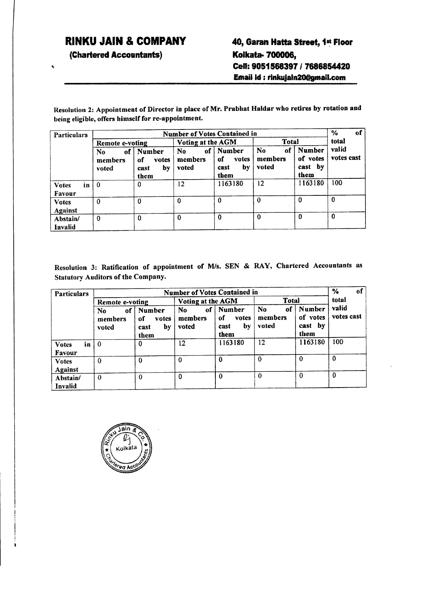# **RINKU JAIN & COMPANY**

**(Chartered Accountants)**

 $\bullet$ 

# **40, Garan Matta Street, 1- Floor Koikafa.. 700006,** Cell: 9051568397 / 7686854420 **Email Id : rinkujaln20@gmail.com**

Resolution 2: Appointment of Director in place of Mr. Prabhat Haldar who retires by rotation and being eligible, offers himself for re-appointment.

| <b>Particulars</b>                  | <b>Number of Votes Contained in</b> |                                             |                              |                                             |                                          |                                                 |                     |  |  |  |
|-------------------------------------|-------------------------------------|---------------------------------------------|------------------------------|---------------------------------------------|------------------------------------------|-------------------------------------------------|---------------------|--|--|--|
|                                     | Remote e-voting                     |                                             | Voting at the AGM            |                                             | Total                                    | total                                           |                     |  |  |  |
|                                     | of<br>No.<br>members<br>voted       | Number<br>of<br>votes<br>by<br>cast<br>them | of<br>No<br>members<br>voted | Number<br>оf<br>votes<br>by<br>cast<br>them | N <sub>0</sub><br>of<br>members<br>voted | <b>Number</b><br>of votes<br>by<br>cast<br>them | valid<br>votes cast |  |  |  |
| in<br><b>Votes</b><br><b>Favour</b> | $\theta$                            | 0                                           | 12                           | 1163180                                     | 12                                       | 1163180                                         | 100                 |  |  |  |
| <b>Votes</b><br><b>Against</b>      | $\Omega$                            | 0                                           | $\bf{0}$                     | 0                                           | $\theta$                                 | 0                                               | $\mathbf{0}$        |  |  |  |
| Abstain/<br>Invalid                 | $\theta$                            | $\bf{0}$                                    | $\Omega$                     | $\bf{0}$                                    | $\bf{0}$                                 | $\Omega$                                        | $\Omega$            |  |  |  |

Resolution 3: Ratification of appointment of M/s. SEN & RAY, Chartered Accountants as Statutory Auditors of the Company.

| <b>Particulars</b>             | <b>Number of Votes Contained in</b> |                                             |                              |                                                    |                              |                                       |                     |  |
|--------------------------------|-------------------------------------|---------------------------------------------|------------------------------|----------------------------------------------------|------------------------------|---------------------------------------|---------------------|--|
|                                | Remote e-voting                     |                                             | Voting at the AGM            |                                                    | Total                        |                                       | total               |  |
|                                | of<br>No<br>members<br>voted        | Number<br>оf<br>votes<br>by<br>cast<br>them | of<br>No<br>members<br>voted | <b>Number</b><br>of<br>votes<br>by<br>cast<br>them | No<br>of<br>members<br>voted | Number<br>of votes<br>cast by<br>them | valid<br>votes cast |  |
| <b>Votes</b><br>in<br>Favour   | $\bf{0}$                            | 0                                           | 12                           | 1163180                                            | 12                           | 1163180                               | 100                 |  |
| <b>Votes</b><br><b>Against</b> | $\Omega$                            | $\Omega$                                    | $\bf{0}$                     | $\bf{0}$                                           | $\Omega$                     | $\Omega$                              | $\Omega$            |  |
| Abstain/<br>Invalid            | $\Omega$                            | $\Omega$                                    | 0                            | $\Omega$                                           | $\Omega$                     | $\theta$                              | 0                   |  |